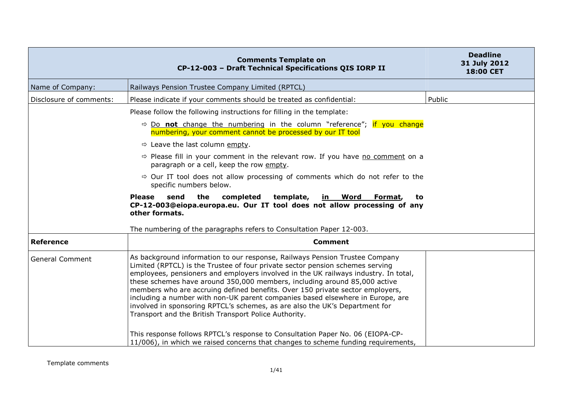|                         | <b>Comments Template on</b><br>CP-12-003 - Draft Technical Specifications QIS IORP II                                                                                                                                                                                                                                                                                                                                                                                                                                                                                                                                                       | <b>Deadline</b><br>31 July 2012<br>18:00 CET |
|-------------------------|---------------------------------------------------------------------------------------------------------------------------------------------------------------------------------------------------------------------------------------------------------------------------------------------------------------------------------------------------------------------------------------------------------------------------------------------------------------------------------------------------------------------------------------------------------------------------------------------------------------------------------------------|----------------------------------------------|
| Name of Company:        | Railways Pension Trustee Company Limited (RPTCL)                                                                                                                                                                                                                                                                                                                                                                                                                                                                                                                                                                                            |                                              |
| Disclosure of comments: | Please indicate if your comments should be treated as confidential:                                                                                                                                                                                                                                                                                                                                                                                                                                                                                                                                                                         | Public                                       |
|                         | Please follow the following instructions for filling in the template:                                                                                                                                                                                                                                                                                                                                                                                                                                                                                                                                                                       |                                              |
|                         | $\Rightarrow$ Do not change the numbering in the column "reference"; if you change<br>numbering, your comment cannot be processed by our IT tool                                                                                                                                                                                                                                                                                                                                                                                                                                                                                            |                                              |
|                         | $\Rightarrow$ Leave the last column empty.                                                                                                                                                                                                                                                                                                                                                                                                                                                                                                                                                                                                  |                                              |
|                         | $\Rightarrow$ Please fill in your comment in the relevant row. If you have no comment on a<br>paragraph or a cell, keep the row empty.                                                                                                                                                                                                                                                                                                                                                                                                                                                                                                      |                                              |
|                         | $\Rightarrow$ Our IT tool does not allow processing of comments which do not refer to the<br>specific numbers below.                                                                                                                                                                                                                                                                                                                                                                                                                                                                                                                        |                                              |
|                         | send<br>the<br>completed<br>template,<br><b>Please</b><br><u>in Word</u><br>Format,<br>to<br>CP-12-003@eiopa.europa.eu. Our IT tool does not allow processing of any<br>other formats.<br>The numbering of the paragraphs refers to Consultation Paper 12-003.                                                                                                                                                                                                                                                                                                                                                                              |                                              |
| <b>Reference</b>        | <b>Comment</b>                                                                                                                                                                                                                                                                                                                                                                                                                                                                                                                                                                                                                              |                                              |
| <b>General Comment</b>  | As background information to our response, Railways Pension Trustee Company<br>Limited (RPTCL) is the Trustee of four private sector pension schemes serving<br>employees, pensioners and employers involved in the UK railways industry. In total,<br>these schemes have around 350,000 members, including around 85,000 active<br>members who are accruing defined benefits. Over 150 private sector employers,<br>including a number with non-UK parent companies based elsewhere in Europe, are<br>involved in sponsoring RPTCL's schemes, as are also the UK's Department for<br>Transport and the British Transport Police Authority. |                                              |
|                         | This response follows RPTCL's response to Consultation Paper No. 06 (EIOPA-CP-<br>11/006), in which we raised concerns that changes to scheme funding requirements,                                                                                                                                                                                                                                                                                                                                                                                                                                                                         |                                              |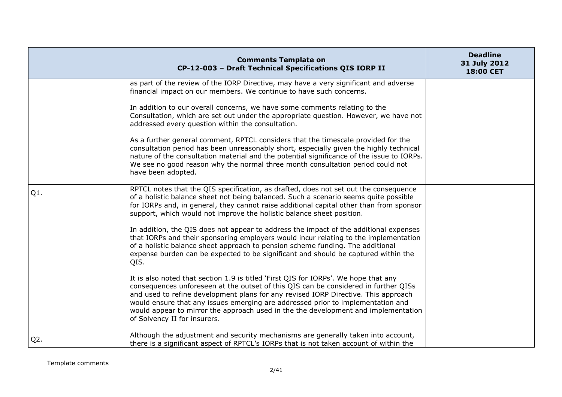|        | <b>Comments Template on</b><br>CP-12-003 - Draft Technical Specifications QIS IORP II                                                                                                                                                                                                                                                                                                                                                                                     | <b>Deadline</b><br>31 July 2012<br>18:00 CET |
|--------|---------------------------------------------------------------------------------------------------------------------------------------------------------------------------------------------------------------------------------------------------------------------------------------------------------------------------------------------------------------------------------------------------------------------------------------------------------------------------|----------------------------------------------|
|        | as part of the review of the IORP Directive, may have a very significant and adverse<br>financial impact on our members. We continue to have such concerns.                                                                                                                                                                                                                                                                                                               |                                              |
|        | In addition to our overall concerns, we have some comments relating to the<br>Consultation, which are set out under the appropriate question. However, we have not<br>addressed every question within the consultation.                                                                                                                                                                                                                                                   |                                              |
|        | As a further general comment, RPTCL considers that the timescale provided for the<br>consultation period has been unreasonably short, especially given the highly technical<br>nature of the consultation material and the potential significance of the issue to IORPs.<br>We see no good reason why the normal three month consultation period could not<br>have been adopted.                                                                                          |                                              |
| Q1.    | RPTCL notes that the QIS specification, as drafted, does not set out the consequence<br>of a holistic balance sheet not being balanced. Such a scenario seems quite possible<br>for IORPs and, in general, they cannot raise additional capital other than from sponsor<br>support, which would not improve the holistic balance sheet position.                                                                                                                          |                                              |
|        | In addition, the QIS does not appear to address the impact of the additional expenses<br>that IORPs and their sponsoring employers would incur relating to the implementation<br>of a holistic balance sheet approach to pension scheme funding. The additional<br>expense burden can be expected to be significant and should be captured within the<br>QIS.                                                                                                             |                                              |
|        | It is also noted that section 1.9 is titled 'First QIS for IORPs'. We hope that any<br>consequences unforeseen at the outset of this QIS can be considered in further QISs<br>and used to refine development plans for any revised IORP Directive. This approach<br>would ensure that any issues emerging are addressed prior to implementation and<br>would appear to mirror the approach used in the the development and implementation<br>of Solvency II for insurers. |                                              |
| $Q2$ . | Although the adjustment and security mechanisms are generally taken into account,<br>there is a significant aspect of RPTCL's IORPs that is not taken account of within the                                                                                                                                                                                                                                                                                               |                                              |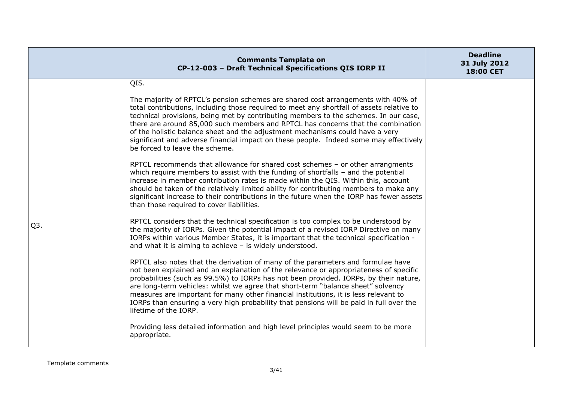|     | <b>Comments Template on</b><br>CP-12-003 - Draft Technical Specifications QIS IORP II                                                                                                                                                                                                                                                                                                                                                                                                                                                                                 | <b>Deadline</b><br>31 July 2012<br>18:00 CET |
|-----|-----------------------------------------------------------------------------------------------------------------------------------------------------------------------------------------------------------------------------------------------------------------------------------------------------------------------------------------------------------------------------------------------------------------------------------------------------------------------------------------------------------------------------------------------------------------------|----------------------------------------------|
|     | QIS.                                                                                                                                                                                                                                                                                                                                                                                                                                                                                                                                                                  |                                              |
|     | The majority of RPTCL's pension schemes are shared cost arrangements with 40% of<br>total contributions, including those required to meet any shortfall of assets relative to<br>technical provisions, being met by contributing members to the schemes. In our case,<br>there are around 85,000 such members and RPTCL has concerns that the combination<br>of the holistic balance sheet and the adjustment mechanisms could have a very<br>significant and adverse financial impact on these people. Indeed some may effectively<br>be forced to leave the scheme. |                                              |
|     | RPTCL recommends that allowance for shared cost schemes - or other arrangments<br>which require members to assist with the funding of shortfalls - and the potential<br>increase in member contribution rates is made within the QIS. Within this, account<br>should be taken of the relatively limited ability for contributing members to make any<br>significant increase to their contributions in the future when the IORP has fewer assets<br>than those required to cover liabilities.                                                                         |                                              |
| Q3. | RPTCL considers that the technical specification is too complex to be understood by<br>the majority of IORPs. Given the potential impact of a revised IORP Directive on many<br>IORPs within various Member States, it is important that the technical specification -<br>and what it is aiming to achieve $-$ is widely understood.                                                                                                                                                                                                                                  |                                              |
|     | RPTCL also notes that the derivation of many of the parameters and formulae have<br>not been explained and an explanation of the relevance or appropriateness of specific<br>probabilities (such as 99.5%) to IORPs has not been provided. IORPs, by their nature,<br>are long-term vehicles: whilst we agree that short-term "balance sheet" solvency<br>measures are important for many other financial institutions, it is less relevant to<br>IORPs than ensuring a very high probability that pensions will be paid in full over the<br>lifetime of the IORP.    |                                              |
|     | Providing less detailed information and high level principles would seem to be more<br>appropriate.                                                                                                                                                                                                                                                                                                                                                                                                                                                                   |                                              |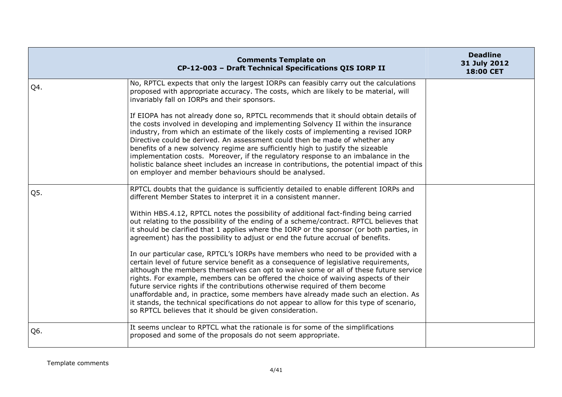|     | <b>Comments Template on</b><br>CP-12-003 - Draft Technical Specifications QIS IORP II                                                                                                                                                                                                                                                                                                                                                                                                                                                                                                                                                                                                   | <b>Deadline</b><br>31 July 2012<br>18:00 CET |
|-----|-----------------------------------------------------------------------------------------------------------------------------------------------------------------------------------------------------------------------------------------------------------------------------------------------------------------------------------------------------------------------------------------------------------------------------------------------------------------------------------------------------------------------------------------------------------------------------------------------------------------------------------------------------------------------------------------|----------------------------------------------|
| Q4. | No, RPTCL expects that only the largest IORPs can feasibly carry out the calculations<br>proposed with appropriate accuracy. The costs, which are likely to be material, will<br>invariably fall on IORPs and their sponsors.                                                                                                                                                                                                                                                                                                                                                                                                                                                           |                                              |
|     | If EIOPA has not already done so, RPTCL recommends that it should obtain details of<br>the costs involved in developing and implementing Solvency II within the insurance<br>industry, from which an estimate of the likely costs of implementing a revised IORP<br>Directive could be derived. An assessment could then be made of whether any<br>benefits of a new solvency regime are sufficiently high to justify the sizeable<br>implementation costs. Moreover, if the regulatory response to an imbalance in the<br>holistic balance sheet includes an increase in contributions, the potential impact of this<br>on employer and member behaviours should be analysed.          |                                              |
| Q5. | RPTCL doubts that the guidance is sufficiently detailed to enable different IORPs and<br>different Member States to interpret it in a consistent manner.                                                                                                                                                                                                                                                                                                                                                                                                                                                                                                                                |                                              |
|     | Within HBS.4.12, RPTCL notes the possibility of additional fact-finding being carried<br>out relating to the possibility of the ending of a scheme/contract. RPTCL believes that<br>it should be clarified that 1 applies where the IORP or the sponsor (or both parties, in<br>agreement) has the possibility to adjust or end the future accrual of benefits.                                                                                                                                                                                                                                                                                                                         |                                              |
|     | In our particular case, RPTCL's IORPs have members who need to be provided with a<br>certain level of future service benefit as a consequence of legislative requirements,<br>although the members themselves can opt to waive some or all of these future service<br>rights. For example, members can be offered the choice of waiving aspects of their<br>future service rights if the contributions otherwise required of them become<br>unaffordable and, in practice, some members have already made such an election. As<br>it stands, the technical specifications do not appear to allow for this type of scenario,<br>so RPTCL believes that it should be given consideration. |                                              |
| Q6. | It seems unclear to RPTCL what the rationale is for some of the simplifications<br>proposed and some of the proposals do not seem appropriate.                                                                                                                                                                                                                                                                                                                                                                                                                                                                                                                                          |                                              |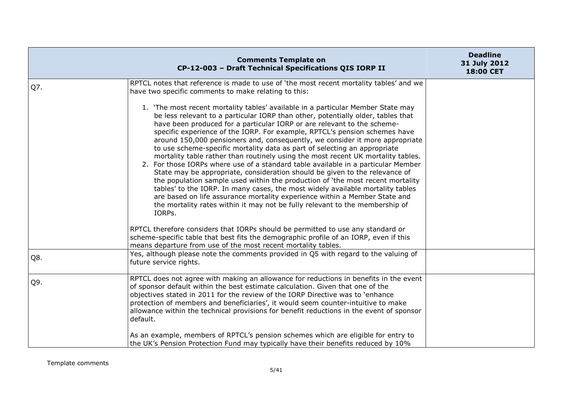|     | <b>Comments Template on</b><br>CP-12-003 - Draft Technical Specifications QIS IORP II                                                                                                                                                                                                                                                                                                                                                                                                                                                                                                                                                                                                                                                                                                                                                                                                                                                                                                                                                                                                                                                                                             | <b>Deadline</b><br>31 July 2012<br>18:00 CET |
|-----|-----------------------------------------------------------------------------------------------------------------------------------------------------------------------------------------------------------------------------------------------------------------------------------------------------------------------------------------------------------------------------------------------------------------------------------------------------------------------------------------------------------------------------------------------------------------------------------------------------------------------------------------------------------------------------------------------------------------------------------------------------------------------------------------------------------------------------------------------------------------------------------------------------------------------------------------------------------------------------------------------------------------------------------------------------------------------------------------------------------------------------------------------------------------------------------|----------------------------------------------|
| Q7. | RPTCL notes that reference is made to use of 'the most recent mortality tables' and we<br>have two specific comments to make relating to this:                                                                                                                                                                                                                                                                                                                                                                                                                                                                                                                                                                                                                                                                                                                                                                                                                                                                                                                                                                                                                                    |                                              |
|     | 1. 'The most recent mortality tables' available in a particular Member State may<br>be less relevant to a particular IORP than other, potentially older, tables that<br>have been produced for a particular IORP or are relevant to the scheme-<br>specific experience of the IORP. For example, RPTCL's pension schemes have<br>around 150,000 pensioners and, consequently, we consider it more appropriate<br>to use scheme-specific mortality data as part of selecting an appropriate<br>mortality table rather than routinely using the most recent UK mortality tables.<br>2. For those IORPs where use of a standard table available in a particular Member<br>State may be appropriate, consideration should be given to the relevance of<br>the population sample used within the production of 'the most recent mortality<br>tables' to the IORP. In many cases, the most widely available mortality tables<br>are based on life assurance mortality experience within a Member State and<br>the mortality rates within it may not be fully relevant to the membership of<br>IORPs.<br>RPTCL therefore considers that IORPs should be permitted to use any standard or |                                              |
|     | scheme-specific table that best fits the demographic profile of an IORP, even if this<br>means departure from use of the most recent mortality tables.                                                                                                                                                                                                                                                                                                                                                                                                                                                                                                                                                                                                                                                                                                                                                                                                                                                                                                                                                                                                                            |                                              |
| Q8. | Yes, although please note the comments provided in Q5 with regard to the valuing of<br>future service rights.                                                                                                                                                                                                                                                                                                                                                                                                                                                                                                                                                                                                                                                                                                                                                                                                                                                                                                                                                                                                                                                                     |                                              |
| Q9. | RPTCL does not agree with making an allowance for reductions in benefits in the event<br>of sponsor default within the best estimate calculation. Given that one of the<br>objectives stated in 2011 for the review of the IORP Directive was to 'enhance<br>protection of members and beneficiaries', it would seem counter-intuitive to make<br>allowance within the technical provisions for benefit reductions in the event of sponsor<br>default.                                                                                                                                                                                                                                                                                                                                                                                                                                                                                                                                                                                                                                                                                                                            |                                              |
|     | As an example, members of RPTCL's pension schemes which are eligible for entry to<br>the UK's Pension Protection Fund may typically have their benefits reduced by 10%                                                                                                                                                                                                                                                                                                                                                                                                                                                                                                                                                                                                                                                                                                                                                                                                                                                                                                                                                                                                            |                                              |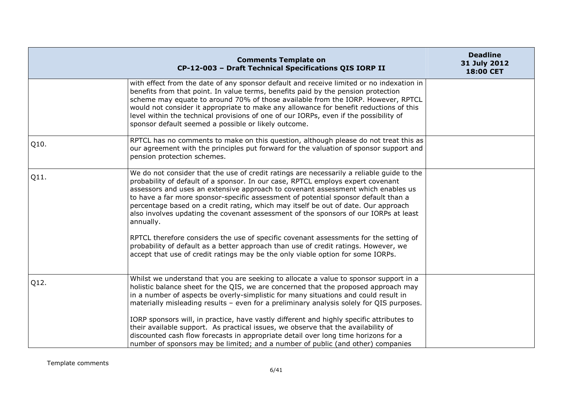|      | <b>Comments Template on</b><br>CP-12-003 - Draft Technical Specifications QIS IORP II                                                                                                                                                                                                                                                                                                                                                                                                                                                                                                                                                                                                                                                                                                                                | <b>Deadline</b><br>31 July 2012<br>18:00 CET |
|------|----------------------------------------------------------------------------------------------------------------------------------------------------------------------------------------------------------------------------------------------------------------------------------------------------------------------------------------------------------------------------------------------------------------------------------------------------------------------------------------------------------------------------------------------------------------------------------------------------------------------------------------------------------------------------------------------------------------------------------------------------------------------------------------------------------------------|----------------------------------------------|
|      | with effect from the date of any sponsor default and receive limited or no indexation in<br>benefits from that point. In value terms, benefits paid by the pension protection<br>scheme may equate to around 70% of those available from the IORP. However, RPTCL<br>would not consider it appropriate to make any allowance for benefit reductions of this<br>level within the technical provisions of one of our IORPs, even if the possibility of<br>sponsor default seemed a possible or likely outcome.                                                                                                                                                                                                                                                                                                         |                                              |
| Q10. | RPTCL has no comments to make on this question, although please do not treat this as<br>our agreement with the principles put forward for the valuation of sponsor support and<br>pension protection schemes.                                                                                                                                                                                                                                                                                                                                                                                                                                                                                                                                                                                                        |                                              |
| Q11. | We do not consider that the use of credit ratings are necessarily a reliable guide to the<br>probability of default of a sponsor. In our case, RPTCL employs expert covenant<br>assessors and uses an extensive approach to covenant assessment which enables us<br>to have a far more sponsor-specific assessment of potential sponsor default than a<br>percentage based on a credit rating, which may itself be out of date. Our approach<br>also involves updating the covenant assessment of the sponsors of our IORPs at least<br>annually.<br>RPTCL therefore considers the use of specific covenant assessments for the setting of<br>probability of default as a better approach than use of credit ratings. However, we<br>accept that use of credit ratings may be the only viable option for some IORPs. |                                              |
| Q12. | Whilst we understand that you are seeking to allocate a value to sponsor support in a<br>holistic balance sheet for the QIS, we are concerned that the proposed approach may<br>in a number of aspects be overly-simplistic for many situations and could result in<br>materially misleading results - even for a preliminary analysis solely for QIS purposes.<br>IORP sponsors will, in practice, have vastly different and highly specific attributes to<br>their available support. As practical issues, we observe that the availability of<br>discounted cash flow forecasts in appropriate detail over long time horizons for a<br>number of sponsors may be limited; and a number of public (and other) companies                                                                                            |                                              |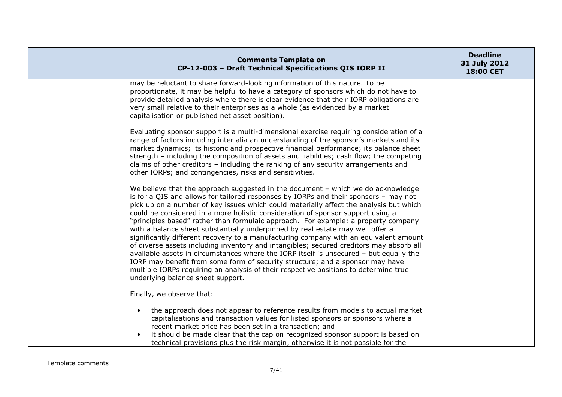| <b>Comments Template on</b><br>CP-12-003 - Draft Technical Specifications QIS IORP II                                                                                                                                                                                                                                                                                                                                                                                                                                                                                                                                                                                                                                                                                                                                                                                                                                                                                                                                       | <b>Deadline</b><br>31 July 2012<br>18:00 CET |
|-----------------------------------------------------------------------------------------------------------------------------------------------------------------------------------------------------------------------------------------------------------------------------------------------------------------------------------------------------------------------------------------------------------------------------------------------------------------------------------------------------------------------------------------------------------------------------------------------------------------------------------------------------------------------------------------------------------------------------------------------------------------------------------------------------------------------------------------------------------------------------------------------------------------------------------------------------------------------------------------------------------------------------|----------------------------------------------|
| may be reluctant to share forward-looking information of this nature. To be<br>proportionate, it may be helpful to have a category of sponsors which do not have to<br>provide detailed analysis where there is clear evidence that their IORP obligations are<br>very small relative to their enterprises as a whole (as evidenced by a market<br>capitalisation or published net asset position).                                                                                                                                                                                                                                                                                                                                                                                                                                                                                                                                                                                                                         |                                              |
| Evaluating sponsor support is a multi-dimensional exercise requiring consideration of a<br>range of factors including inter alia an understanding of the sponsor's markets and its<br>market dynamics; its historic and prospective financial performance; its balance sheet<br>strength - including the composition of assets and liabilities; cash flow; the competing<br>claims of other creditors - including the ranking of any security arrangements and<br>other IORPs; and contingencies, risks and sensitivities.                                                                                                                                                                                                                                                                                                                                                                                                                                                                                                  |                                              |
| We believe that the approach suggested in the document $-$ which we do acknowledge<br>is for a QIS and allows for tailored responses by IORPs and their sponsors - may not<br>pick up on a number of key issues which could materially affect the analysis but which<br>could be considered in a more holistic consideration of sponsor support using a<br>"principles based" rather than formulaic approach. For example: a property company<br>with a balance sheet substantially underpinned by real estate may well offer a<br>significantly different recovery to a manufacturing company with an equivalent amount<br>of diverse assets including inventory and intangibles; secured creditors may absorb all<br>available assets in circumstances where the IORP itself is unsecured - but equally the<br>IORP may benefit from some form of security structure; and a sponsor may have<br>multiple IORPs requiring an analysis of their respective positions to determine true<br>underlying balance sheet support. |                                              |
| Finally, we observe that:<br>the approach does not appear to reference results from models to actual market<br>$\bullet$<br>capitalisations and transaction values for listed sponsors or sponsors where a<br>recent market price has been set in a transaction; and<br>it should be made clear that the cap on recognized sponsor support is based on<br>$\bullet$<br>technical provisions plus the risk margin, otherwise it is not possible for the                                                                                                                                                                                                                                                                                                                                                                                                                                                                                                                                                                      |                                              |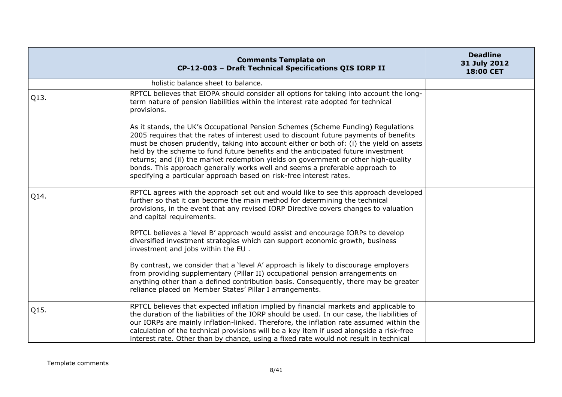|      | <b>Comments Template on</b><br>CP-12-003 - Draft Technical Specifications QIS IORP II                                                                                                                                                                                                                                                                                                                                                                                                                                                                                                                  | <b>Deadline</b><br>31 July 2012<br><b>18:00 CET</b> |
|------|--------------------------------------------------------------------------------------------------------------------------------------------------------------------------------------------------------------------------------------------------------------------------------------------------------------------------------------------------------------------------------------------------------------------------------------------------------------------------------------------------------------------------------------------------------------------------------------------------------|-----------------------------------------------------|
|      | holistic balance sheet to balance.                                                                                                                                                                                                                                                                                                                                                                                                                                                                                                                                                                     |                                                     |
| Q13. | RPTCL believes that EIOPA should consider all options for taking into account the long-<br>term nature of pension liabilities within the interest rate adopted for technical<br>provisions.                                                                                                                                                                                                                                                                                                                                                                                                            |                                                     |
|      | As it stands, the UK's Occupational Pension Schemes (Scheme Funding) Regulations<br>2005 requires that the rates of interest used to discount future payments of benefits<br>must be chosen prudently, taking into account either or both of: (i) the yield on assets<br>held by the scheme to fund future benefits and the anticipated future investment<br>returns; and (ii) the market redemption yields on government or other high-quality<br>bonds. This approach generally works well and seems a preferable approach to<br>specifying a particular approach based on risk-free interest rates. |                                                     |
| Q14. | RPTCL agrees with the approach set out and would like to see this approach developed<br>further so that it can become the main method for determining the technical<br>provisions, in the event that any revised IORP Directive covers changes to valuation<br>and capital requirements.                                                                                                                                                                                                                                                                                                               |                                                     |
|      | RPTCL believes a 'level B' approach would assist and encourage IORPs to develop<br>diversified investment strategies which can support economic growth, business<br>investment and jobs within the EU.                                                                                                                                                                                                                                                                                                                                                                                                 |                                                     |
|      | By contrast, we consider that a 'level A' approach is likely to discourage employers<br>from providing supplementary (Pillar II) occupational pension arrangements on<br>anything other than a defined contribution basis. Consequently, there may be greater<br>reliance placed on Member States' Pillar I arrangements.                                                                                                                                                                                                                                                                              |                                                     |
| Q15. | RPTCL believes that expected inflation implied by financial markets and applicable to<br>the duration of the liabilities of the IORP should be used. In our case, the liabilities of<br>our IORPs are mainly inflation-linked. Therefore, the inflation rate assumed within the<br>calculation of the technical provisions will be a key item if used alongside a risk-free<br>interest rate. Other than by chance, using a fixed rate would not result in technical                                                                                                                                   |                                                     |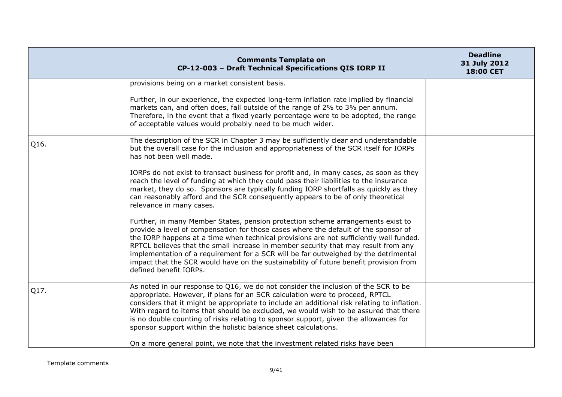|      | <b>Comments Template on</b><br>CP-12-003 - Draft Technical Specifications QIS IORP II                                                                                                                                                                                                                                                                                                                                                                                                                                                                                                                                                                                                                                                                                                                                                                                                                                                                                                                                                                                                                                                                                      | <b>Deadline</b><br>31 July 2012<br>18:00 CET |
|------|----------------------------------------------------------------------------------------------------------------------------------------------------------------------------------------------------------------------------------------------------------------------------------------------------------------------------------------------------------------------------------------------------------------------------------------------------------------------------------------------------------------------------------------------------------------------------------------------------------------------------------------------------------------------------------------------------------------------------------------------------------------------------------------------------------------------------------------------------------------------------------------------------------------------------------------------------------------------------------------------------------------------------------------------------------------------------------------------------------------------------------------------------------------------------|----------------------------------------------|
|      | provisions being on a market consistent basis.<br>Further, in our experience, the expected long-term inflation rate implied by financial<br>markets can, and often does, fall outside of the range of 2% to 3% per annum.<br>Therefore, in the event that a fixed yearly percentage were to be adopted, the range<br>of acceptable values would probably need to be much wider.                                                                                                                                                                                                                                                                                                                                                                                                                                                                                                                                                                                                                                                                                                                                                                                            |                                              |
| Q16. | The description of the SCR in Chapter 3 may be sufficiently clear and understandable<br>but the overall case for the inclusion and appropriateness of the SCR itself for IORPs<br>has not been well made.<br>IORPs do not exist to transact business for profit and, in many cases, as soon as they<br>reach the level of funding at which they could pass their liabilities to the insurance<br>market, they do so. Sponsors are typically funding IORP shortfalls as quickly as they<br>can reasonably afford and the SCR consequently appears to be of only theoretical<br>relevance in many cases.<br>Further, in many Member States, pension protection scheme arrangements exist to<br>provide a level of compensation for those cases where the default of the sponsor of<br>the IORP happens at a time when technical provisions are not sufficiently well funded.<br>RPTCL believes that the small increase in member security that may result from any<br>implementation of a requirement for a SCR will be far outweighed by the detrimental<br>impact that the SCR would have on the sustainability of future benefit provision from<br>defined benefit IORPs. |                                              |
| Q17. | As noted in our response to Q16, we do not consider the inclusion of the SCR to be<br>appropriate. However, if plans for an SCR calculation were to proceed, RPTCL<br>considers that it might be appropriate to include an additional risk relating to inflation.<br>With regard to items that should be excluded, we would wish to be assured that there<br>is no double counting of risks relating to sponsor support, given the allowances for<br>sponsor support within the holistic balance sheet calculations.<br>On a more general point, we note that the investment related risks have been                                                                                                                                                                                                                                                                                                                                                                                                                                                                                                                                                                       |                                              |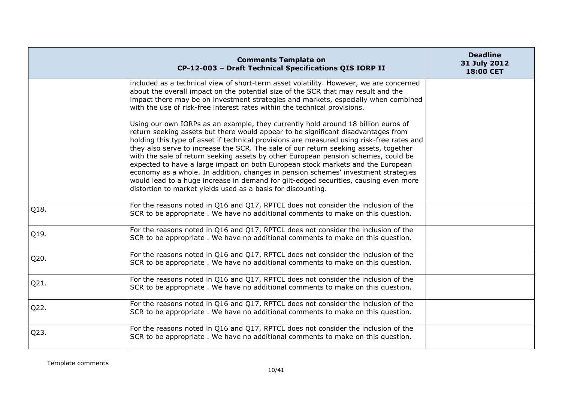|      | <b>Comments Template on</b><br>CP-12-003 - Draft Technical Specifications QIS IORP II                                                                                                                                                                                                                                                                                                                                                                                                                                                                                                                                                                                                                                                                                              | <b>Deadline</b><br>31 July 2012<br>18:00 CET |
|------|------------------------------------------------------------------------------------------------------------------------------------------------------------------------------------------------------------------------------------------------------------------------------------------------------------------------------------------------------------------------------------------------------------------------------------------------------------------------------------------------------------------------------------------------------------------------------------------------------------------------------------------------------------------------------------------------------------------------------------------------------------------------------------|----------------------------------------------|
|      | included as a technical view of short-term asset volatility. However, we are concerned<br>about the overall impact on the potential size of the SCR that may result and the<br>impact there may be on investment strategies and markets, especially when combined<br>with the use of risk-free interest rates within the technical provisions.                                                                                                                                                                                                                                                                                                                                                                                                                                     |                                              |
|      | Using our own IORPs as an example, they currently hold around 18 billion euros of<br>return seeking assets but there would appear to be significant disadvantages from<br>holding this type of asset if technical provisions are measured using risk-free rates and<br>they also serve to increase the SCR. The sale of our return seeking assets, together<br>with the sale of return seeking assets by other European pension schemes, could be<br>expected to have a large impact on both European stock markets and the European<br>economy as a whole. In addition, changes in pension schemes' investment strategies<br>would lead to a huge increase in demand for gilt-edged securities, causing even more<br>distortion to market yields used as a basis for discounting. |                                              |
| Q18. | For the reasons noted in Q16 and Q17, RPTCL does not consider the inclusion of the<br>SCR to be appropriate. We have no additional comments to make on this question.                                                                                                                                                                                                                                                                                                                                                                                                                                                                                                                                                                                                              |                                              |
| Q19. | For the reasons noted in Q16 and Q17, RPTCL does not consider the inclusion of the<br>SCR to be appropriate . We have no additional comments to make on this question.                                                                                                                                                                                                                                                                                                                                                                                                                                                                                                                                                                                                             |                                              |
| Q20. | For the reasons noted in Q16 and Q17, RPTCL does not consider the inclusion of the<br>SCR to be appropriate. We have no additional comments to make on this question.                                                                                                                                                                                                                                                                                                                                                                                                                                                                                                                                                                                                              |                                              |
| Q21. | For the reasons noted in Q16 and Q17, RPTCL does not consider the inclusion of the<br>SCR to be appropriate. We have no additional comments to make on this question.                                                                                                                                                                                                                                                                                                                                                                                                                                                                                                                                                                                                              |                                              |
| Q22. | For the reasons noted in Q16 and Q17, RPTCL does not consider the inclusion of the<br>SCR to be appropriate. We have no additional comments to make on this question.                                                                                                                                                                                                                                                                                                                                                                                                                                                                                                                                                                                                              |                                              |
| Q23. | For the reasons noted in Q16 and Q17, RPTCL does not consider the inclusion of the<br>SCR to be appropriate. We have no additional comments to make on this question.                                                                                                                                                                                                                                                                                                                                                                                                                                                                                                                                                                                                              |                                              |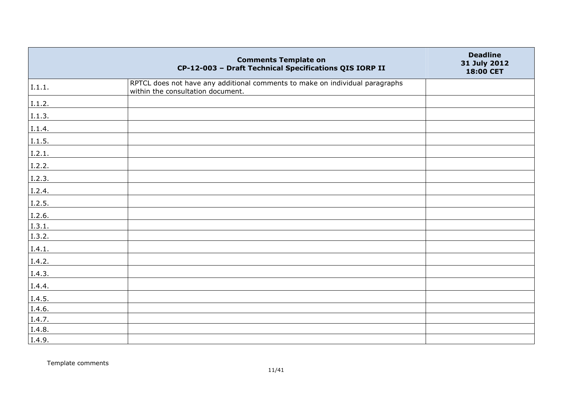|        | <b>Comments Template on</b><br>CP-12-003 - Draft Technical Specifications QIS IORP II                             | <b>Deadline</b><br>31 July 2012<br>18:00 CET |
|--------|-------------------------------------------------------------------------------------------------------------------|----------------------------------------------|
| I.1.1. | RPTCL does not have any additional comments to make on individual paragraphs<br>within the consultation document. |                                              |
| I.1.2. |                                                                                                                   |                                              |
| I.1.3. |                                                                                                                   |                                              |
| I.1.4. |                                                                                                                   |                                              |
| I.1.5. |                                                                                                                   |                                              |
| I.2.1. |                                                                                                                   |                                              |
| I.2.2. |                                                                                                                   |                                              |
| I.2.3. |                                                                                                                   |                                              |
| I.2.4. |                                                                                                                   |                                              |
| I.2.5. |                                                                                                                   |                                              |
| 1.2.6. |                                                                                                                   |                                              |
| I.3.1. |                                                                                                                   |                                              |
| 1.3.2. |                                                                                                                   |                                              |
| I.4.1. |                                                                                                                   |                                              |
| I.4.2. |                                                                                                                   |                                              |
| I.4.3. |                                                                                                                   |                                              |
| I.4.4. |                                                                                                                   |                                              |
| 1.4.5. |                                                                                                                   |                                              |
| I.4.6. |                                                                                                                   |                                              |
| I.4.7. |                                                                                                                   |                                              |
| I.4.8. |                                                                                                                   |                                              |
| I.4.9. |                                                                                                                   |                                              |

Template comments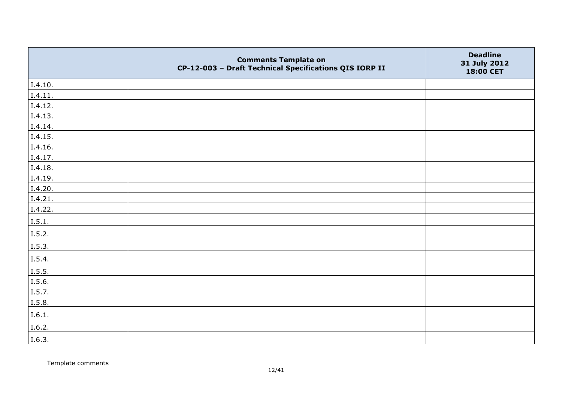|         | <b>Comments Template on</b><br>CP-12-003 - Draft Technical Specifications QIS IORP II | <b>Deadline</b><br>31 July 2012<br>18:00 CET |
|---------|---------------------------------------------------------------------------------------|----------------------------------------------|
| I.4.10. |                                                                                       |                                              |
| I.4.11. |                                                                                       |                                              |
| I.4.12. |                                                                                       |                                              |
| I.4.13. |                                                                                       |                                              |
| I.4.14. |                                                                                       |                                              |
| I.4.15. |                                                                                       |                                              |
| I.4.16. |                                                                                       |                                              |
| I.4.17. |                                                                                       |                                              |
| I.4.18. |                                                                                       |                                              |
| I.4.19. |                                                                                       |                                              |
| I.4.20. |                                                                                       |                                              |
| I.4.21. |                                                                                       |                                              |
| I.4.22. |                                                                                       |                                              |
| I.5.1.  |                                                                                       |                                              |
| I.5.2.  |                                                                                       |                                              |
| I.5.3.  |                                                                                       |                                              |
| I.5.4.  |                                                                                       |                                              |
| I.5.5.  |                                                                                       |                                              |
| I.5.6.  |                                                                                       |                                              |
| I.5.7.  |                                                                                       |                                              |
| I.5.8.  |                                                                                       |                                              |
| I.6.1.  |                                                                                       |                                              |
| I.6.2.  |                                                                                       |                                              |
| I.6.3.  |                                                                                       |                                              |

Template comments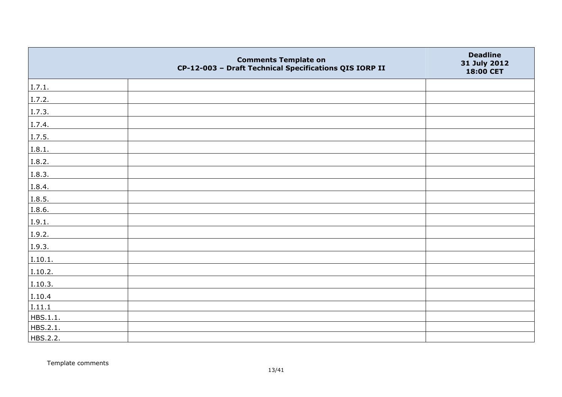|          | <b>Comments Template on</b><br>CP-12-003 - Draft Technical Specifications QIS IORP II | <b>Deadline</b><br>31 July 2012<br>18:00 CET |
|----------|---------------------------------------------------------------------------------------|----------------------------------------------|
| I.7.1.   |                                                                                       |                                              |
| I.7.2.   |                                                                                       |                                              |
| I.7.3.   |                                                                                       |                                              |
| I.7.4.   |                                                                                       |                                              |
| I.7.5.   |                                                                                       |                                              |
| I.8.1.   |                                                                                       |                                              |
| I.8.2.   |                                                                                       |                                              |
| I.8.3.   |                                                                                       |                                              |
| I.8.4.   |                                                                                       |                                              |
| I.8.5.   |                                                                                       |                                              |
| I.8.6.   |                                                                                       |                                              |
| I.9.1.   |                                                                                       |                                              |
| I.9.2.   |                                                                                       |                                              |
| I.9.3.   |                                                                                       |                                              |
| I.10.1.  |                                                                                       |                                              |
| I.10.2.  |                                                                                       |                                              |
| I.10.3.  |                                                                                       |                                              |
| I.10.4   |                                                                                       |                                              |
| I.11.1   |                                                                                       |                                              |
| HBS.1.1. |                                                                                       |                                              |
| HBS.2.1. |                                                                                       |                                              |
| HBS.2.2. |                                                                                       |                                              |

Template comments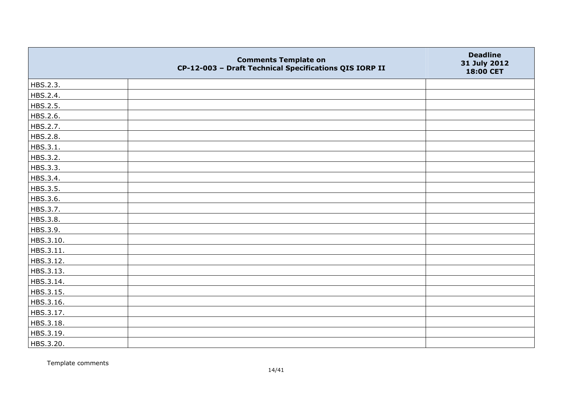|           | <b>Comments Template on</b><br>CP-12-003 - Draft Technical Specifications QIS IORP II | <b>Deadline</b><br>31 July 2012<br>18:00 CET |
|-----------|---------------------------------------------------------------------------------------|----------------------------------------------|
| HBS.2.3.  |                                                                                       |                                              |
| HBS.2.4.  |                                                                                       |                                              |
| HBS.2.5.  |                                                                                       |                                              |
| HBS.2.6.  |                                                                                       |                                              |
| HBS.2.7.  |                                                                                       |                                              |
| HBS.2.8.  |                                                                                       |                                              |
| HBS.3.1.  |                                                                                       |                                              |
| HBS.3.2.  |                                                                                       |                                              |
| HBS.3.3.  |                                                                                       |                                              |
| HBS.3.4.  |                                                                                       |                                              |
| HBS.3.5.  |                                                                                       |                                              |
| HBS.3.6.  |                                                                                       |                                              |
| HBS.3.7.  |                                                                                       |                                              |
| HBS.3.8.  |                                                                                       |                                              |
| HBS.3.9.  |                                                                                       |                                              |
| HBS.3.10. |                                                                                       |                                              |
| HBS.3.11. |                                                                                       |                                              |
| HBS.3.12. |                                                                                       |                                              |
| HBS.3.13. |                                                                                       |                                              |
| HBS.3.14. |                                                                                       |                                              |
| HBS.3.15. |                                                                                       |                                              |
| HBS.3.16. |                                                                                       |                                              |
| HBS.3.17. |                                                                                       |                                              |
| HBS.3.18. |                                                                                       |                                              |
| HBS.3.19. |                                                                                       |                                              |
| HBS.3.20. |                                                                                       |                                              |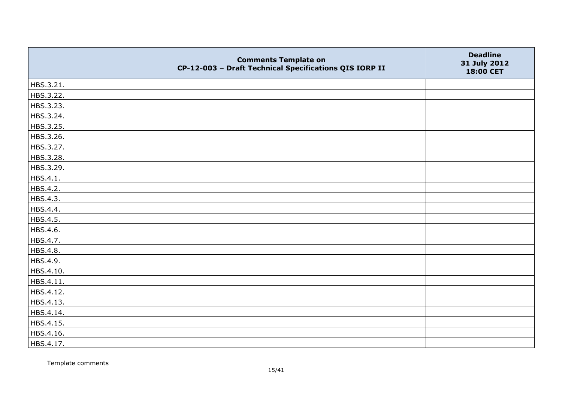|           | <b>Comments Template on</b><br>CP-12-003 - Draft Technical Specifications QIS IORP II | <b>Deadline</b><br>31 July 2012<br>18:00 CET |
|-----------|---------------------------------------------------------------------------------------|----------------------------------------------|
| HBS.3.21. |                                                                                       |                                              |
| HBS.3.22. |                                                                                       |                                              |
| HBS.3.23. |                                                                                       |                                              |
| HBS.3.24. |                                                                                       |                                              |
| HBS.3.25. |                                                                                       |                                              |
| HBS.3.26. |                                                                                       |                                              |
| HBS.3.27. |                                                                                       |                                              |
| HBS.3.28. |                                                                                       |                                              |
| HBS.3.29. |                                                                                       |                                              |
| HBS.4.1.  |                                                                                       |                                              |
| HBS.4.2.  |                                                                                       |                                              |
| HBS.4.3.  |                                                                                       |                                              |
| HBS.4.4.  |                                                                                       |                                              |
| HBS.4.5.  |                                                                                       |                                              |
| HBS.4.6.  |                                                                                       |                                              |
| HBS.4.7.  |                                                                                       |                                              |
| HBS.4.8.  |                                                                                       |                                              |
| HBS.4.9.  |                                                                                       |                                              |
| HBS.4.10. |                                                                                       |                                              |
| HBS.4.11. |                                                                                       |                                              |
| HBS.4.12. |                                                                                       |                                              |
| HBS.4.13. |                                                                                       |                                              |
| HBS.4.14. |                                                                                       |                                              |
| HBS.4.15. |                                                                                       |                                              |
| HBS.4.16. |                                                                                       |                                              |
| HBS.4.17. |                                                                                       |                                              |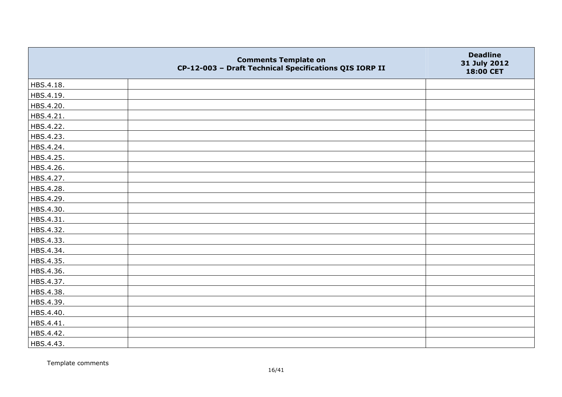|           | <b>Comments Template on</b><br>CP-12-003 - Draft Technical Specifications QIS IORP II | <b>Deadline</b><br>31 July 2012<br>18:00 CET |
|-----------|---------------------------------------------------------------------------------------|----------------------------------------------|
| HBS.4.18. |                                                                                       |                                              |
| HBS.4.19. |                                                                                       |                                              |
| HBS.4.20. |                                                                                       |                                              |
| HBS.4.21. |                                                                                       |                                              |
| HBS.4.22. |                                                                                       |                                              |
| HBS.4.23. |                                                                                       |                                              |
| HBS.4.24. |                                                                                       |                                              |
| HBS.4.25. |                                                                                       |                                              |
| HBS.4.26. |                                                                                       |                                              |
| HBS.4.27. |                                                                                       |                                              |
| HBS.4.28. |                                                                                       |                                              |
| HBS.4.29. |                                                                                       |                                              |
| HBS.4.30. |                                                                                       |                                              |
| HBS.4.31. |                                                                                       |                                              |
| HBS.4.32. |                                                                                       |                                              |
| HBS.4.33. |                                                                                       |                                              |
| HBS.4.34. |                                                                                       |                                              |
| HBS.4.35. |                                                                                       |                                              |
| HBS.4.36. |                                                                                       |                                              |
| HBS.4.37. |                                                                                       |                                              |
| HBS.4.38. |                                                                                       |                                              |
| HBS.4.39. |                                                                                       |                                              |
| HBS.4.40. |                                                                                       |                                              |
| HBS.4.41. |                                                                                       |                                              |
| HBS.4.42. |                                                                                       |                                              |
| HBS.4.43. |                                                                                       |                                              |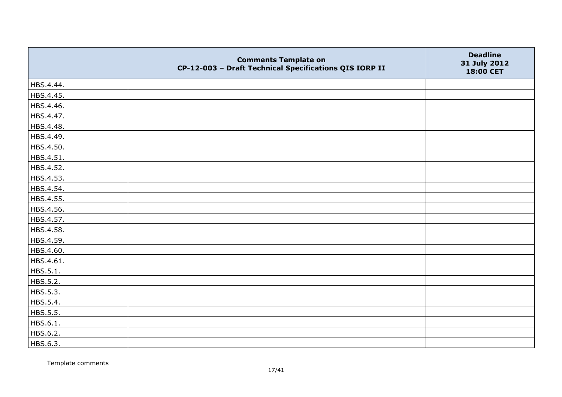|           | <b>Comments Template on</b><br>CP-12-003 - Draft Technical Specifications QIS IORP II | <b>Deadline</b><br>31 July 2012<br>18:00 CET |
|-----------|---------------------------------------------------------------------------------------|----------------------------------------------|
| HBS.4.44. |                                                                                       |                                              |
| HBS.4.45. |                                                                                       |                                              |
| HBS.4.46. |                                                                                       |                                              |
| HBS.4.47. |                                                                                       |                                              |
| HBS.4.48. |                                                                                       |                                              |
| HBS.4.49. |                                                                                       |                                              |
| HBS.4.50. |                                                                                       |                                              |
| HBS.4.51. |                                                                                       |                                              |
| HBS.4.52. |                                                                                       |                                              |
| HBS.4.53. |                                                                                       |                                              |
| HBS.4.54. |                                                                                       |                                              |
| HBS.4.55. |                                                                                       |                                              |
| HBS.4.56. |                                                                                       |                                              |
| HBS.4.57. |                                                                                       |                                              |
| HBS.4.58. |                                                                                       |                                              |
| HBS.4.59. |                                                                                       |                                              |
| HBS.4.60. |                                                                                       |                                              |
| HBS.4.61. |                                                                                       |                                              |
| HBS.5.1.  |                                                                                       |                                              |
| HBS.5.2.  |                                                                                       |                                              |
| HBS.5.3.  |                                                                                       |                                              |
| HBS.5.4.  |                                                                                       |                                              |
| HBS.5.5.  |                                                                                       |                                              |
| HBS.6.1.  |                                                                                       |                                              |
| HBS.6.2.  |                                                                                       |                                              |
| HBS.6.3.  |                                                                                       |                                              |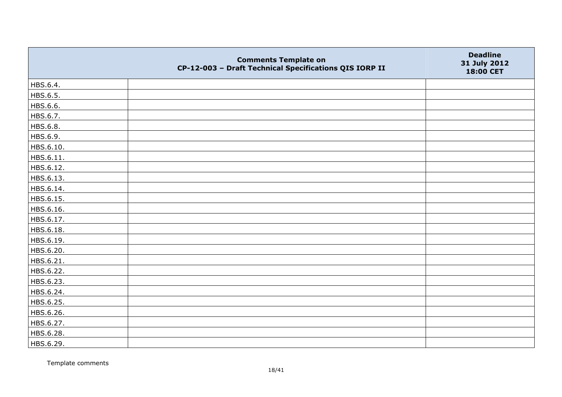|           | <b>Comments Template on</b><br>CP-12-003 - Draft Technical Specifications QIS IORP II | <b>Deadline</b><br>31 July 2012<br>18:00 CET |
|-----------|---------------------------------------------------------------------------------------|----------------------------------------------|
| HBS.6.4.  |                                                                                       |                                              |
| HBS.6.5.  |                                                                                       |                                              |
| HBS.6.6.  |                                                                                       |                                              |
| HBS.6.7.  |                                                                                       |                                              |
| HBS.6.8.  |                                                                                       |                                              |
| HBS.6.9.  |                                                                                       |                                              |
| HBS.6.10. |                                                                                       |                                              |
| HBS.6.11. |                                                                                       |                                              |
| HBS.6.12. |                                                                                       |                                              |
| HBS.6.13. |                                                                                       |                                              |
| HBS.6.14. |                                                                                       |                                              |
| HBS.6.15. |                                                                                       |                                              |
| HBS.6.16. |                                                                                       |                                              |
| HBS.6.17. |                                                                                       |                                              |
| HBS.6.18. |                                                                                       |                                              |
| HBS.6.19. |                                                                                       |                                              |
| HBS.6.20. |                                                                                       |                                              |
| HBS.6.21. |                                                                                       |                                              |
| HBS.6.22. |                                                                                       |                                              |
| HBS.6.23. |                                                                                       |                                              |
| HBS.6.24. |                                                                                       |                                              |
| HBS.6.25. |                                                                                       |                                              |
| HBS.6.26. |                                                                                       |                                              |
| HBS.6.27. |                                                                                       |                                              |
| HBS.6.28. |                                                                                       |                                              |
| HBS.6.29. |                                                                                       |                                              |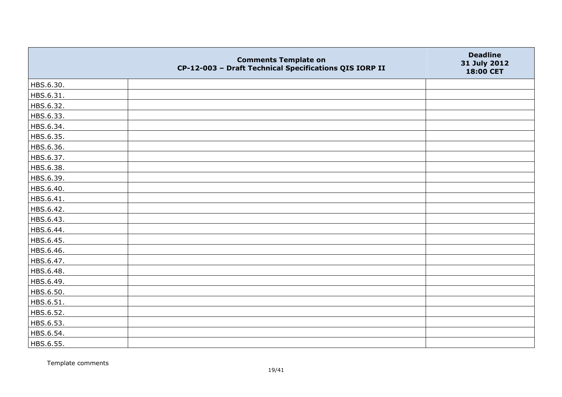|           | <b>Comments Template on</b><br>CP-12-003 - Draft Technical Specifications QIS IORP II | <b>Deadline</b><br>31 July 2012<br>18:00 CET |
|-----------|---------------------------------------------------------------------------------------|----------------------------------------------|
| HBS.6.30. |                                                                                       |                                              |
| HBS.6.31. |                                                                                       |                                              |
| HBS.6.32. |                                                                                       |                                              |
| HBS.6.33. |                                                                                       |                                              |
| HBS.6.34. |                                                                                       |                                              |
| HBS.6.35. |                                                                                       |                                              |
| HBS.6.36. |                                                                                       |                                              |
| HBS.6.37. |                                                                                       |                                              |
| HBS.6.38. |                                                                                       |                                              |
| HBS.6.39. |                                                                                       |                                              |
| HBS.6.40. |                                                                                       |                                              |
| HBS.6.41. |                                                                                       |                                              |
| HBS.6.42. |                                                                                       |                                              |
| HBS.6.43. |                                                                                       |                                              |
| HBS.6.44. |                                                                                       |                                              |
| HBS.6.45. |                                                                                       |                                              |
| HBS.6.46. |                                                                                       |                                              |
| HBS.6.47. |                                                                                       |                                              |
| HBS.6.48. |                                                                                       |                                              |
| HBS.6.49. |                                                                                       |                                              |
| HBS.6.50. |                                                                                       |                                              |
| HBS.6.51. |                                                                                       |                                              |
| HBS.6.52. |                                                                                       |                                              |
| HBS.6.53. |                                                                                       |                                              |
| HBS.6.54. |                                                                                       |                                              |
| HBS.6.55. |                                                                                       |                                              |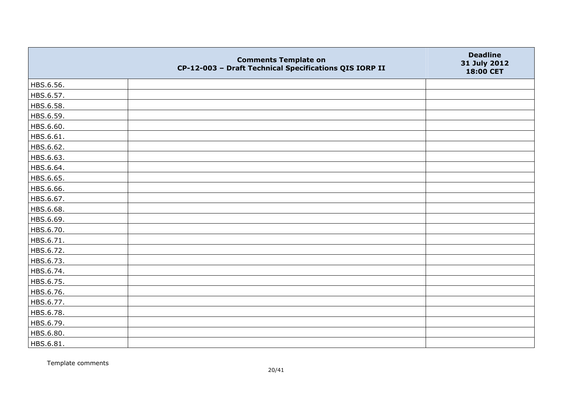|           | <b>Comments Template on</b><br>CP-12-003 - Draft Technical Specifications QIS IORP II | <b>Deadline</b><br>31 July 2012<br>18:00 CET |
|-----------|---------------------------------------------------------------------------------------|----------------------------------------------|
| HBS.6.56. |                                                                                       |                                              |
| HBS.6.57. |                                                                                       |                                              |
| HBS.6.58. |                                                                                       |                                              |
| HBS.6.59. |                                                                                       |                                              |
| HBS.6.60. |                                                                                       |                                              |
| HBS.6.61. |                                                                                       |                                              |
| HBS.6.62. |                                                                                       |                                              |
| HBS.6.63. |                                                                                       |                                              |
| HBS.6.64. |                                                                                       |                                              |
| HBS.6.65. |                                                                                       |                                              |
| HBS.6.66. |                                                                                       |                                              |
| HBS.6.67. |                                                                                       |                                              |
| HBS.6.68. |                                                                                       |                                              |
| HBS.6.69. |                                                                                       |                                              |
| HBS.6.70. |                                                                                       |                                              |
| HBS.6.71. |                                                                                       |                                              |
| HBS.6.72. |                                                                                       |                                              |
| HBS.6.73. |                                                                                       |                                              |
| HBS.6.74. |                                                                                       |                                              |
| HBS.6.75. |                                                                                       |                                              |
| HBS.6.76. |                                                                                       |                                              |
| HBS.6.77. |                                                                                       |                                              |
| HBS.6.78. |                                                                                       |                                              |
| HBS.6.79. |                                                                                       |                                              |
| HBS.6.80. |                                                                                       |                                              |
| HBS.6.81. |                                                                                       |                                              |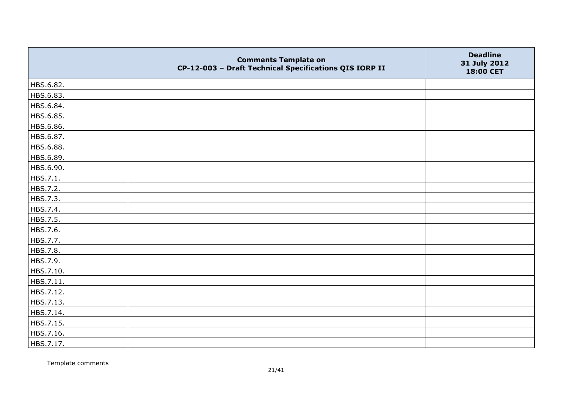|           | <b>Comments Template on</b><br>CP-12-003 - Draft Technical Specifications QIS IORP II | <b>Deadline</b><br>31 July 2012<br>18:00 CET |
|-----------|---------------------------------------------------------------------------------------|----------------------------------------------|
| HBS.6.82. |                                                                                       |                                              |
| HBS.6.83. |                                                                                       |                                              |
| HBS.6.84. |                                                                                       |                                              |
| HBS.6.85. |                                                                                       |                                              |
| HBS.6.86. |                                                                                       |                                              |
| HBS.6.87. |                                                                                       |                                              |
| HBS.6.88. |                                                                                       |                                              |
| HBS.6.89. |                                                                                       |                                              |
| HBS.6.90. |                                                                                       |                                              |
| HBS.7.1.  |                                                                                       |                                              |
| HBS.7.2.  |                                                                                       |                                              |
| HBS.7.3.  |                                                                                       |                                              |
| HBS.7.4.  |                                                                                       |                                              |
| HBS.7.5.  |                                                                                       |                                              |
| HBS.7.6.  |                                                                                       |                                              |
| HBS.7.7.  |                                                                                       |                                              |
| HBS.7.8.  |                                                                                       |                                              |
| HBS.7.9.  |                                                                                       |                                              |
| HBS.7.10. |                                                                                       |                                              |
| HBS.7.11. |                                                                                       |                                              |
| HBS.7.12. |                                                                                       |                                              |
| HBS.7.13. |                                                                                       |                                              |
| HBS.7.14. |                                                                                       |                                              |
| HBS.7.15. |                                                                                       |                                              |
| HBS.7.16. |                                                                                       |                                              |
| HBS.7.17. |                                                                                       |                                              |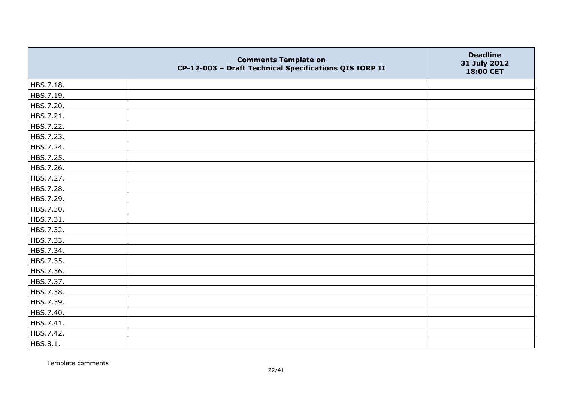|           | <b>Comments Template on</b><br>CP-12-003 - Draft Technical Specifications QIS IORP II | <b>Deadline</b><br>31 July 2012<br>18:00 CET |
|-----------|---------------------------------------------------------------------------------------|----------------------------------------------|
| HBS.7.18. |                                                                                       |                                              |
| HBS.7.19. |                                                                                       |                                              |
| HBS.7.20. |                                                                                       |                                              |
| HBS.7.21. |                                                                                       |                                              |
| HBS.7.22. |                                                                                       |                                              |
| HBS.7.23. |                                                                                       |                                              |
| HBS.7.24. |                                                                                       |                                              |
| HBS.7.25. |                                                                                       |                                              |
| HBS.7.26. |                                                                                       |                                              |
| HBS.7.27. |                                                                                       |                                              |
| HBS.7.28. |                                                                                       |                                              |
| HBS.7.29. |                                                                                       |                                              |
| HBS.7.30. |                                                                                       |                                              |
| HBS.7.31. |                                                                                       |                                              |
| HBS.7.32. |                                                                                       |                                              |
| HBS.7.33. |                                                                                       |                                              |
| HBS.7.34. |                                                                                       |                                              |
| HBS.7.35. |                                                                                       |                                              |
| HBS.7.36. |                                                                                       |                                              |
| HBS.7.37. |                                                                                       |                                              |
| HBS.7.38. |                                                                                       |                                              |
| HBS.7.39. |                                                                                       |                                              |
| HBS.7.40. |                                                                                       |                                              |
| HBS.7.41. |                                                                                       |                                              |
| HBS.7.42. |                                                                                       |                                              |
| HBS.8.1.  |                                                                                       |                                              |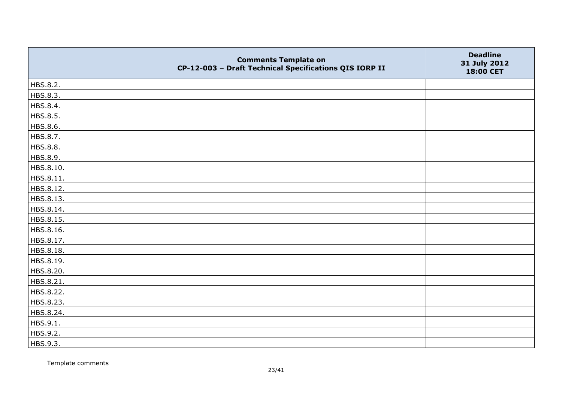|           | <b>Comments Template on</b><br>CP-12-003 - Draft Technical Specifications QIS IORP II | <b>Deadline</b><br>31 July 2012<br>18:00 CET |
|-----------|---------------------------------------------------------------------------------------|----------------------------------------------|
| HBS.8.2.  |                                                                                       |                                              |
| HBS.8.3.  |                                                                                       |                                              |
| HBS.8.4.  |                                                                                       |                                              |
| HBS.8.5.  |                                                                                       |                                              |
| HBS.8.6.  |                                                                                       |                                              |
| HBS.8.7.  |                                                                                       |                                              |
| HBS.8.8.  |                                                                                       |                                              |
| HBS.8.9.  |                                                                                       |                                              |
| HBS.8.10. |                                                                                       |                                              |
| HBS.8.11. |                                                                                       |                                              |
| HBS.8.12. |                                                                                       |                                              |
| HBS.8.13. |                                                                                       |                                              |
| HBS.8.14. |                                                                                       |                                              |
| HBS.8.15. |                                                                                       |                                              |
| HBS.8.16. |                                                                                       |                                              |
| HBS.8.17. |                                                                                       |                                              |
| HBS.8.18. |                                                                                       |                                              |
| HBS.8.19. |                                                                                       |                                              |
| HBS.8.20. |                                                                                       |                                              |
| HBS.8.21. |                                                                                       |                                              |
| HBS.8.22. |                                                                                       |                                              |
| HBS.8.23. |                                                                                       |                                              |
| HBS.8.24. |                                                                                       |                                              |
| HBS.9.1.  |                                                                                       |                                              |
| HBS.9.2.  |                                                                                       |                                              |
| HBS.9.3.  |                                                                                       |                                              |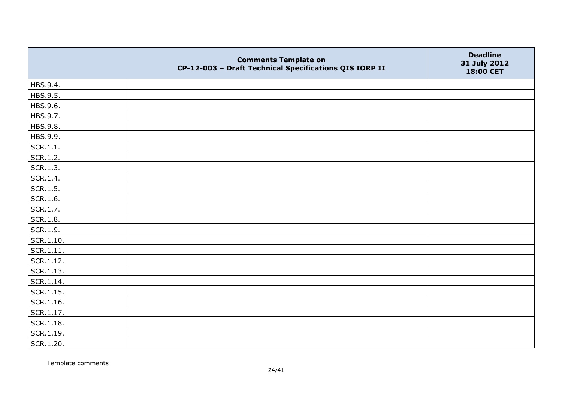|                   | <b>Comments Template on</b><br>CP-12-003 - Draft Technical Specifications QIS IORP II | <b>Deadline</b><br>31 July 2012<br>18:00 CET |
|-------------------|---------------------------------------------------------------------------------------|----------------------------------------------|
| HBS.9.4.          |                                                                                       |                                              |
| HBS.9.5.          |                                                                                       |                                              |
| HBS.9.6.          |                                                                                       |                                              |
| HBS.9.7.          |                                                                                       |                                              |
| HBS.9.8.          |                                                                                       |                                              |
| HBS.9.9.          |                                                                                       |                                              |
| SCR.1.1.          |                                                                                       |                                              |
| SCR.1.2.          |                                                                                       |                                              |
| SCR.1.3.          |                                                                                       |                                              |
| SCR.1.4.          |                                                                                       |                                              |
| SCR.1.5.          |                                                                                       |                                              |
| SCR.1.6.          |                                                                                       |                                              |
| SCR.1.7.          |                                                                                       |                                              |
| SCR.1.8.          |                                                                                       |                                              |
| SCR.1.9.          |                                                                                       |                                              |
| SCR.1.10.         |                                                                                       |                                              |
| SCR.1.11.         |                                                                                       |                                              |
| SCR.1.12.         |                                                                                       |                                              |
| SCR.1.13.         |                                                                                       |                                              |
| SCR.1.14.         |                                                                                       |                                              |
| $\vert$ SCR.1.15. |                                                                                       |                                              |
| SCR.1.16.         |                                                                                       |                                              |
| SCR.1.17.         |                                                                                       |                                              |
| SCR.1.18.         |                                                                                       |                                              |
| SCR.1.19.         |                                                                                       |                                              |
| SCR.1.20.         |                                                                                       |                                              |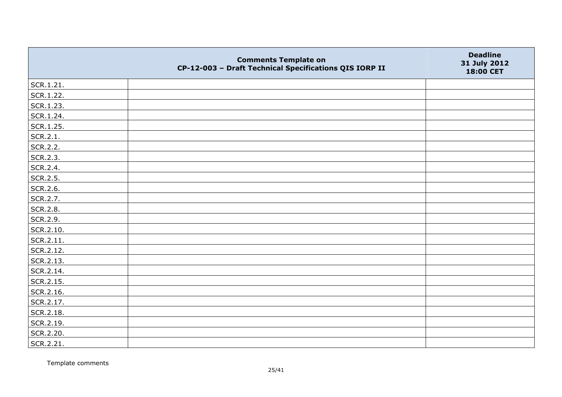|           | <b>Comments Template on</b><br>CP-12-003 - Draft Technical Specifications QIS IORP II | <b>Deadline</b><br>31 July 2012<br>18:00 CET |
|-----------|---------------------------------------------------------------------------------------|----------------------------------------------|
| SCR.1.21. |                                                                                       |                                              |
| SCR.1.22. |                                                                                       |                                              |
| SCR.1.23. |                                                                                       |                                              |
| SCR.1.24. |                                                                                       |                                              |
| SCR.1.25. |                                                                                       |                                              |
| SCR.2.1.  |                                                                                       |                                              |
| SCR.2.2.  |                                                                                       |                                              |
| SCR.2.3.  |                                                                                       |                                              |
| SCR.2.4.  |                                                                                       |                                              |
| SCR.2.5.  |                                                                                       |                                              |
| SCR.2.6.  |                                                                                       |                                              |
| SCR.2.7.  |                                                                                       |                                              |
| SCR.2.8.  |                                                                                       |                                              |
| SCR.2.9.  |                                                                                       |                                              |
| SCR.2.10. |                                                                                       |                                              |
| SCR.2.11. |                                                                                       |                                              |
| SCR.2.12. |                                                                                       |                                              |
| SCR.2.13. |                                                                                       |                                              |
| SCR.2.14. |                                                                                       |                                              |
| SCR.2.15. |                                                                                       |                                              |
| SCR.2.16. |                                                                                       |                                              |
| SCR.2.17. |                                                                                       |                                              |
| SCR.2.18. |                                                                                       |                                              |
| SCR.2.19. |                                                                                       |                                              |
| SCR.2.20. |                                                                                       |                                              |
| SCR.2.21. |                                                                                       |                                              |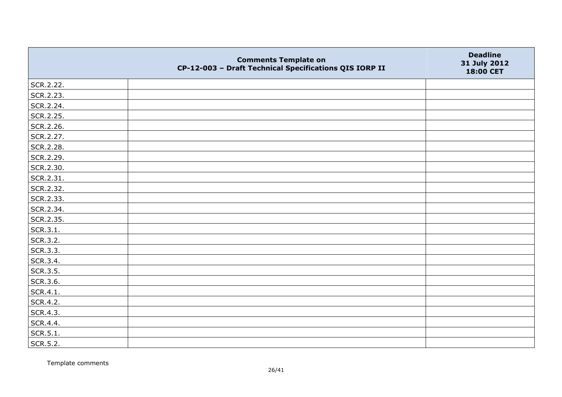|           | <b>Comments Template on</b><br>CP-12-003 - Draft Technical Specifications QIS IORP II | <b>Deadline</b><br>31 July 2012<br>18:00 CET |
|-----------|---------------------------------------------------------------------------------------|----------------------------------------------|
| SCR.2.22. |                                                                                       |                                              |
| SCR.2.23. |                                                                                       |                                              |
| SCR.2.24. |                                                                                       |                                              |
| SCR.2.25. |                                                                                       |                                              |
| SCR.2.26. |                                                                                       |                                              |
| SCR.2.27. |                                                                                       |                                              |
| SCR.2.28. |                                                                                       |                                              |
| SCR.2.29. |                                                                                       |                                              |
| SCR.2.30. |                                                                                       |                                              |
| SCR.2.31. |                                                                                       |                                              |
| SCR.2.32. |                                                                                       |                                              |
| SCR.2.33. |                                                                                       |                                              |
| SCR.2.34. |                                                                                       |                                              |
| SCR.2.35. |                                                                                       |                                              |
| SCR.3.1.  |                                                                                       |                                              |
| SCR.3.2.  |                                                                                       |                                              |
| SCR.3.3.  |                                                                                       |                                              |
| SCR.3.4.  |                                                                                       |                                              |
| SCR.3.5.  |                                                                                       |                                              |
| SCR.3.6.  |                                                                                       |                                              |
| SCR.4.1.  |                                                                                       |                                              |
| SCR.4.2.  |                                                                                       |                                              |
| SCR.4.3.  |                                                                                       |                                              |
| SCR.4.4.  |                                                                                       |                                              |
| SCR.5.1.  |                                                                                       |                                              |
| SCR.5.2.  |                                                                                       |                                              |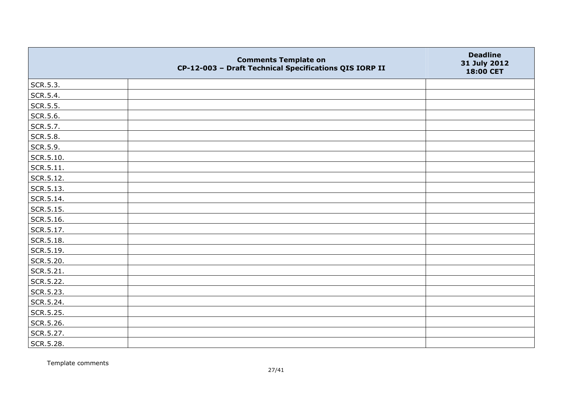|                 | <b>Comments Template on</b><br>CP-12-003 - Draft Technical Specifications QIS IORP II | <b>Deadline</b><br>31 July 2012<br>18:00 CET |
|-----------------|---------------------------------------------------------------------------------------|----------------------------------------------|
| SCR.5.3.        |                                                                                       |                                              |
| SCR.5.4.        |                                                                                       |                                              |
| SCR.5.5.        |                                                                                       |                                              |
| SCR.5.6.        |                                                                                       |                                              |
| SCR.5.7.        |                                                                                       |                                              |
| <b>SCR.5.8.</b> |                                                                                       |                                              |
| SCR.5.9.        |                                                                                       |                                              |
| SCR.5.10.       |                                                                                       |                                              |
| SCR.5.11.       |                                                                                       |                                              |
| SCR.5.12.       |                                                                                       |                                              |
| SCR.5.13.       |                                                                                       |                                              |
| SCR.5.14.       |                                                                                       |                                              |
| SCR.5.15.       |                                                                                       |                                              |
| SCR.5.16.       |                                                                                       |                                              |
| SCR.5.17.       |                                                                                       |                                              |
| SCR.5.18.       |                                                                                       |                                              |
| SCR.5.19.       |                                                                                       |                                              |
| SCR.5.20.       |                                                                                       |                                              |
| SCR.5.21.       |                                                                                       |                                              |
| SCR.5.22.       |                                                                                       |                                              |
| SCR.5.23.       |                                                                                       |                                              |
| SCR.5.24.       |                                                                                       |                                              |
| SCR.5.25.       |                                                                                       |                                              |
| SCR.5.26.       |                                                                                       |                                              |
| SCR.5.27.       |                                                                                       |                                              |
| SCR.5.28.       |                                                                                       |                                              |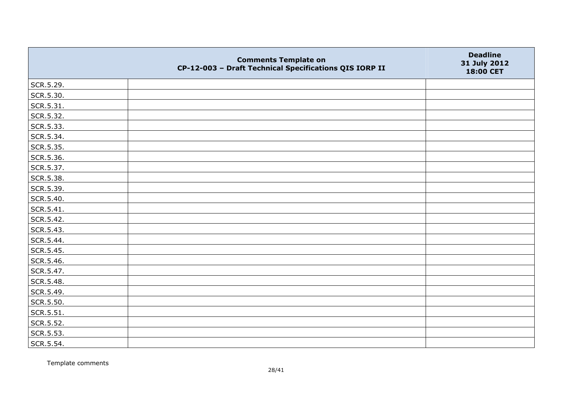|           | <b>Comments Template on</b><br>CP-12-003 - Draft Technical Specifications QIS IORP II | <b>Deadline</b><br>31 July 2012<br>18:00 CET |
|-----------|---------------------------------------------------------------------------------------|----------------------------------------------|
| SCR.5.29. |                                                                                       |                                              |
| SCR.5.30. |                                                                                       |                                              |
| SCR.5.31. |                                                                                       |                                              |
| SCR.5.32. |                                                                                       |                                              |
| SCR.5.33. |                                                                                       |                                              |
| SCR.5.34. |                                                                                       |                                              |
| SCR.5.35. |                                                                                       |                                              |
| SCR.5.36. |                                                                                       |                                              |
| SCR.5.37. |                                                                                       |                                              |
| SCR.5.38. |                                                                                       |                                              |
| SCR.5.39. |                                                                                       |                                              |
| SCR.5.40. |                                                                                       |                                              |
| SCR.5.41. |                                                                                       |                                              |
| SCR.5.42. |                                                                                       |                                              |
| SCR.5.43. |                                                                                       |                                              |
| SCR.5.44. |                                                                                       |                                              |
| SCR.5.45. |                                                                                       |                                              |
| SCR.5.46. |                                                                                       |                                              |
| SCR.5.47. |                                                                                       |                                              |
| SCR.5.48. |                                                                                       |                                              |
| SCR.5.49. |                                                                                       |                                              |
| SCR.5.50. |                                                                                       |                                              |
| SCR.5.51. |                                                                                       |                                              |
| SCR.5.52. |                                                                                       |                                              |
| SCR.5.53. |                                                                                       |                                              |
| SCR.5.54. |                                                                                       |                                              |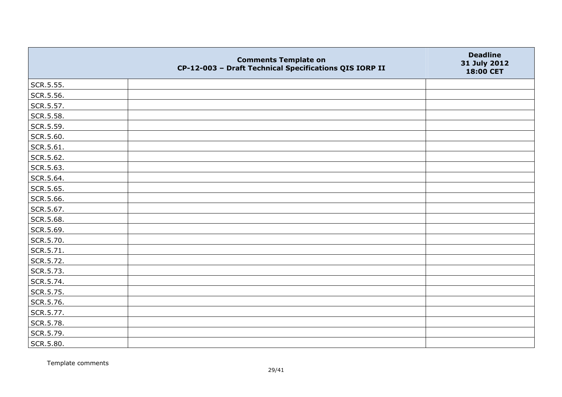|           | <b>Comments Template on</b><br>CP-12-003 - Draft Technical Specifications QIS IORP II | <b>Deadline</b><br>31 July 2012<br>18:00 CET |
|-----------|---------------------------------------------------------------------------------------|----------------------------------------------|
| SCR.5.55. |                                                                                       |                                              |
| SCR.5.56. |                                                                                       |                                              |
| SCR.5.57. |                                                                                       |                                              |
| SCR.5.58. |                                                                                       |                                              |
| SCR.5.59. |                                                                                       |                                              |
| SCR.5.60. |                                                                                       |                                              |
| SCR.5.61. |                                                                                       |                                              |
| SCR.5.62. |                                                                                       |                                              |
| SCR.5.63. |                                                                                       |                                              |
| SCR.5.64. |                                                                                       |                                              |
| SCR.5.65. |                                                                                       |                                              |
| SCR.5.66. |                                                                                       |                                              |
| SCR.5.67. |                                                                                       |                                              |
| SCR.5.68. |                                                                                       |                                              |
| SCR.5.69. |                                                                                       |                                              |
| SCR.5.70. |                                                                                       |                                              |
| SCR.5.71. |                                                                                       |                                              |
| SCR.5.72. |                                                                                       |                                              |
| SCR.5.73. |                                                                                       |                                              |
| SCR.5.74. |                                                                                       |                                              |
| SCR.5.75. |                                                                                       |                                              |
| SCR.5.76. |                                                                                       |                                              |
| SCR.5.77. |                                                                                       |                                              |
| SCR.5.78. |                                                                                       |                                              |
| SCR.5.79. |                                                                                       |                                              |
| SCR.5.80. |                                                                                       |                                              |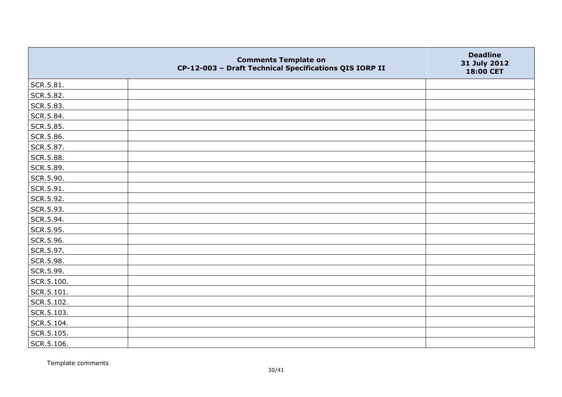|            | <b>Comments Template on</b><br>CP-12-003 - Draft Technical Specifications QIS IORP II | <b>Deadline</b><br>31 July 2012<br>18:00 CET |
|------------|---------------------------------------------------------------------------------------|----------------------------------------------|
| SCR.5.81.  |                                                                                       |                                              |
| SCR.5.82.  |                                                                                       |                                              |
| SCR.5.83.  |                                                                                       |                                              |
| SCR.5.84.  |                                                                                       |                                              |
| SCR.5.85.  |                                                                                       |                                              |
| SCR.5.86.  |                                                                                       |                                              |
| SCR.5.87.  |                                                                                       |                                              |
| SCR.5.88.  |                                                                                       |                                              |
| SCR.5.89.  |                                                                                       |                                              |
| SCR.5.90.  |                                                                                       |                                              |
| SCR.5.91.  |                                                                                       |                                              |
| SCR.5.92.  |                                                                                       |                                              |
| SCR.5.93.  |                                                                                       |                                              |
| SCR.5.94.  |                                                                                       |                                              |
| SCR.5.95.  |                                                                                       |                                              |
| SCR.5.96.  |                                                                                       |                                              |
| SCR.5.97.  |                                                                                       |                                              |
| SCR.5.98.  |                                                                                       |                                              |
| SCR.5.99.  |                                                                                       |                                              |
| SCR.5.100. |                                                                                       |                                              |
| SCR.5.101. |                                                                                       |                                              |
| SCR.5.102. |                                                                                       |                                              |
| SCR.5.103. |                                                                                       |                                              |
| SCR.5.104. |                                                                                       |                                              |
| SCR.5.105. |                                                                                       |                                              |
| SCR.5.106. |                                                                                       |                                              |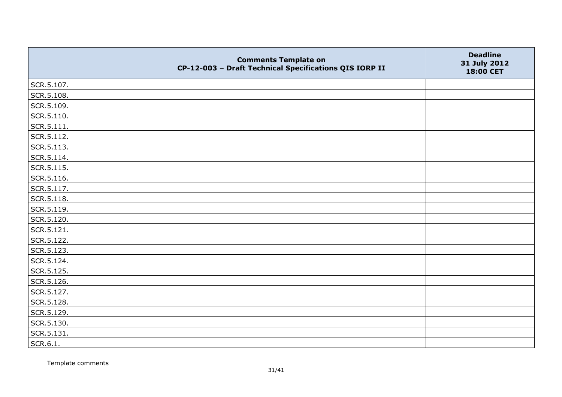|                    | <b>Comments Template on</b><br>CP-12-003 - Draft Technical Specifications QIS IORP II | <b>Deadline</b><br>31 July 2012<br>18:00 CET |
|--------------------|---------------------------------------------------------------------------------------|----------------------------------------------|
| SCR.5.107.         |                                                                                       |                                              |
| SCR.5.108.         |                                                                                       |                                              |
| SCR.5.109.         |                                                                                       |                                              |
| SCR.5.110.         |                                                                                       |                                              |
| $\vert$ SCR.5.111. |                                                                                       |                                              |
| SCR.5.112.         |                                                                                       |                                              |
| SCR.5.113.         |                                                                                       |                                              |
| SCR.5.114.         |                                                                                       |                                              |
| SCR.5.115.         |                                                                                       |                                              |
| SCR.5.116.         |                                                                                       |                                              |
| SCR.5.117.         |                                                                                       |                                              |
| SCR.5.118.         |                                                                                       |                                              |
| SCR.5.119.         |                                                                                       |                                              |
| SCR.5.120.         |                                                                                       |                                              |
| SCR.5.121.         |                                                                                       |                                              |
| SCR.5.122.         |                                                                                       |                                              |
| SCR.5.123.         |                                                                                       |                                              |
| SCR.5.124.         |                                                                                       |                                              |
| SCR.5.125.         |                                                                                       |                                              |
| SCR.5.126.         |                                                                                       |                                              |
| SCR.5.127.         |                                                                                       |                                              |
| SCR.5.128.         |                                                                                       |                                              |
| SCR.5.129.         |                                                                                       |                                              |
| SCR.5.130.         |                                                                                       |                                              |
| SCR.5.131.         |                                                                                       |                                              |
| SCR.6.1.           |                                                                                       |                                              |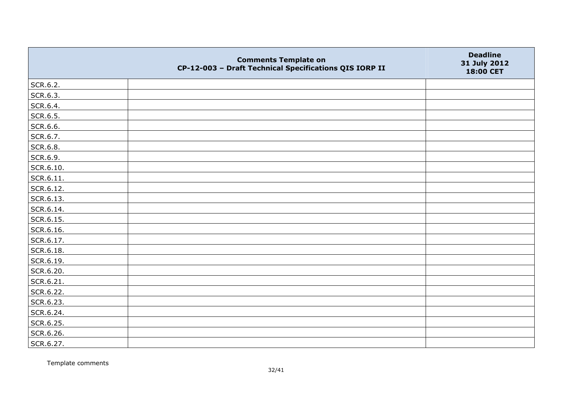|           | <b>Comments Template on</b><br>CP-12-003 - Draft Technical Specifications QIS IORP II | <b>Deadline</b><br>31 July 2012<br>18:00 CET |
|-----------|---------------------------------------------------------------------------------------|----------------------------------------------|
| SCR.6.2.  |                                                                                       |                                              |
| SCR.6.3.  |                                                                                       |                                              |
| SCR.6.4.  |                                                                                       |                                              |
| SCR.6.5.  |                                                                                       |                                              |
| SCR.6.6.  |                                                                                       |                                              |
| SCR.6.7.  |                                                                                       |                                              |
| SCR.6.8.  |                                                                                       |                                              |
| SCR.6.9.  |                                                                                       |                                              |
| SCR.6.10. |                                                                                       |                                              |
| SCR.6.11. |                                                                                       |                                              |
| SCR.6.12. |                                                                                       |                                              |
| SCR.6.13. |                                                                                       |                                              |
| SCR.6.14. |                                                                                       |                                              |
| SCR.6.15. |                                                                                       |                                              |
| SCR.6.16. |                                                                                       |                                              |
| SCR.6.17. |                                                                                       |                                              |
| SCR.6.18. |                                                                                       |                                              |
| SCR.6.19. |                                                                                       |                                              |
| SCR.6.20. |                                                                                       |                                              |
| SCR.6.21. |                                                                                       |                                              |
| SCR.6.22. |                                                                                       |                                              |
| SCR.6.23. |                                                                                       |                                              |
| SCR.6.24. |                                                                                       |                                              |
| SCR.6.25. |                                                                                       |                                              |
| SCR.6.26. |                                                                                       |                                              |
| SCR.6.27. |                                                                                       |                                              |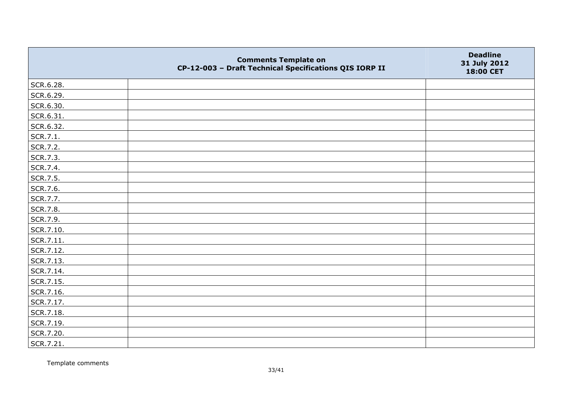|           | <b>Comments Template on</b><br>CP-12-003 - Draft Technical Specifications QIS IORP II | <b>Deadline</b><br>31 July 2012<br>18:00 CET |
|-----------|---------------------------------------------------------------------------------------|----------------------------------------------|
| SCR.6.28. |                                                                                       |                                              |
| SCR.6.29. |                                                                                       |                                              |
| SCR.6.30. |                                                                                       |                                              |
| SCR.6.31. |                                                                                       |                                              |
| SCR.6.32. |                                                                                       |                                              |
| SCR.7.1.  |                                                                                       |                                              |
| SCR.7.2.  |                                                                                       |                                              |
| SCR.7.3.  |                                                                                       |                                              |
| SCR.7.4.  |                                                                                       |                                              |
| SCR.7.5.  |                                                                                       |                                              |
| SCR.7.6.  |                                                                                       |                                              |
| SCR.7.7.  |                                                                                       |                                              |
| SCR.7.8.  |                                                                                       |                                              |
| SCR.7.9.  |                                                                                       |                                              |
| SCR.7.10. |                                                                                       |                                              |
| SCR.7.11. |                                                                                       |                                              |
| SCR.7.12. |                                                                                       |                                              |
| SCR.7.13. |                                                                                       |                                              |
| SCR.7.14. |                                                                                       |                                              |
| SCR.7.15. |                                                                                       |                                              |
| SCR.7.16. |                                                                                       |                                              |
| SCR.7.17. |                                                                                       |                                              |
| SCR.7.18. |                                                                                       |                                              |
| SCR.7.19. |                                                                                       |                                              |
| SCR.7.20. |                                                                                       |                                              |
| SCR.7.21. |                                                                                       |                                              |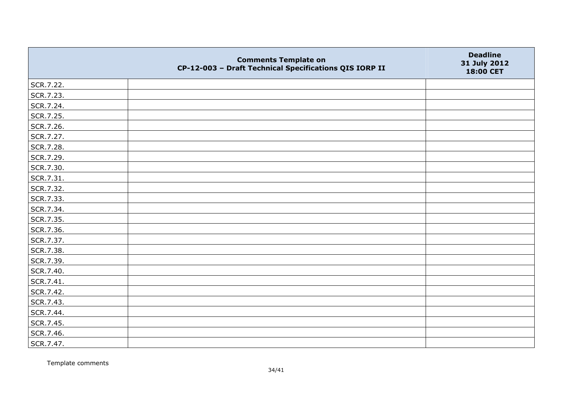|           | <b>Comments Template on</b><br>CP-12-003 - Draft Technical Specifications QIS IORP II | <b>Deadline</b><br>31 July 2012<br>18:00 CET |
|-----------|---------------------------------------------------------------------------------------|----------------------------------------------|
| SCR.7.22. |                                                                                       |                                              |
| SCR.7.23. |                                                                                       |                                              |
| SCR.7.24. |                                                                                       |                                              |
| SCR.7.25. |                                                                                       |                                              |
| SCR.7.26. |                                                                                       |                                              |
| SCR.7.27. |                                                                                       |                                              |
| SCR.7.28. |                                                                                       |                                              |
| SCR.7.29. |                                                                                       |                                              |
| SCR.7.30. |                                                                                       |                                              |
| SCR.7.31. |                                                                                       |                                              |
| SCR.7.32. |                                                                                       |                                              |
| SCR.7.33. |                                                                                       |                                              |
| SCR.7.34. |                                                                                       |                                              |
| SCR.7.35. |                                                                                       |                                              |
| SCR.7.36. |                                                                                       |                                              |
| SCR.7.37. |                                                                                       |                                              |
| SCR.7.38. |                                                                                       |                                              |
| SCR.7.39. |                                                                                       |                                              |
| SCR.7.40. |                                                                                       |                                              |
| SCR.7.41. |                                                                                       |                                              |
| SCR.7.42. |                                                                                       |                                              |
| SCR.7.43. |                                                                                       |                                              |
| SCR.7.44. |                                                                                       |                                              |
| SCR.7.45. |                                                                                       |                                              |
| SCR.7.46. |                                                                                       |                                              |
| SCR.7.47. |                                                                                       |                                              |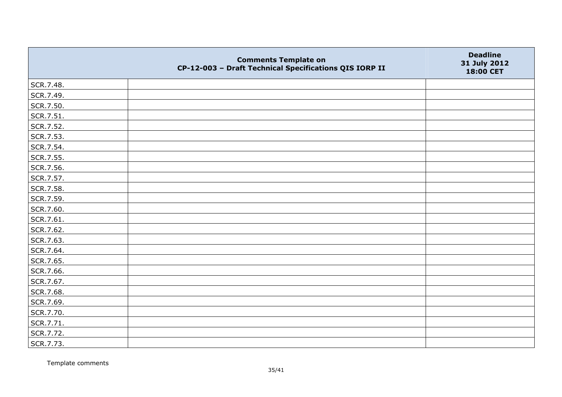|           | <b>Comments Template on</b><br>CP-12-003 - Draft Technical Specifications QIS IORP II | <b>Deadline</b><br>31 July 2012<br>18:00 CET |
|-----------|---------------------------------------------------------------------------------------|----------------------------------------------|
| SCR.7.48. |                                                                                       |                                              |
| SCR.7.49. |                                                                                       |                                              |
| SCR.7.50. |                                                                                       |                                              |
| SCR.7.51. |                                                                                       |                                              |
| SCR.7.52. |                                                                                       |                                              |
| SCR.7.53. |                                                                                       |                                              |
| SCR.7.54. |                                                                                       |                                              |
| SCR.7.55. |                                                                                       |                                              |
| SCR.7.56. |                                                                                       |                                              |
| SCR.7.57. |                                                                                       |                                              |
| SCR.7.58. |                                                                                       |                                              |
| SCR.7.59. |                                                                                       |                                              |
| SCR.7.60. |                                                                                       |                                              |
| SCR.7.61. |                                                                                       |                                              |
| SCR.7.62. |                                                                                       |                                              |
| SCR.7.63. |                                                                                       |                                              |
| SCR.7.64. |                                                                                       |                                              |
| SCR.7.65. |                                                                                       |                                              |
| SCR.7.66. |                                                                                       |                                              |
| SCR.7.67. |                                                                                       |                                              |
| SCR.7.68. |                                                                                       |                                              |
| SCR.7.69. |                                                                                       |                                              |
| SCR.7.70. |                                                                                       |                                              |
| SCR.7.71. |                                                                                       |                                              |
| SCR.7.72. |                                                                                       |                                              |
| SCR.7.73. |                                                                                       |                                              |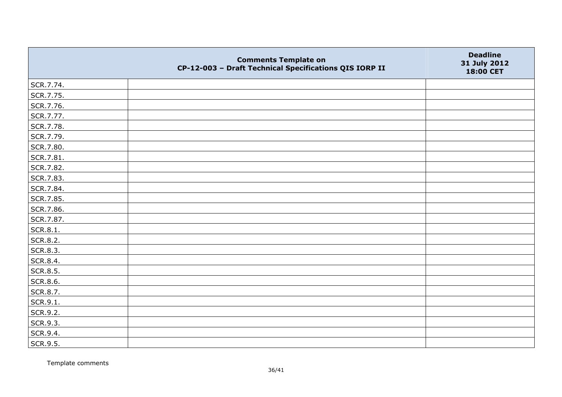|           | <b>Comments Template on</b><br>CP-12-003 - Draft Technical Specifications QIS IORP II | <b>Deadline</b><br>31 July 2012<br>18:00 CET |
|-----------|---------------------------------------------------------------------------------------|----------------------------------------------|
| SCR.7.74. |                                                                                       |                                              |
| SCR.7.75. |                                                                                       |                                              |
| SCR.7.76. |                                                                                       |                                              |
| SCR.7.77. |                                                                                       |                                              |
| SCR.7.78. |                                                                                       |                                              |
| SCR.7.79. |                                                                                       |                                              |
| SCR.7.80. |                                                                                       |                                              |
| SCR.7.81. |                                                                                       |                                              |
| SCR.7.82. |                                                                                       |                                              |
| SCR.7.83. |                                                                                       |                                              |
| SCR.7.84. |                                                                                       |                                              |
| SCR.7.85. |                                                                                       |                                              |
| SCR.7.86. |                                                                                       |                                              |
| SCR.7.87. |                                                                                       |                                              |
| SCR.8.1.  |                                                                                       |                                              |
| SCR.8.2.  |                                                                                       |                                              |
| SCR.8.3.  |                                                                                       |                                              |
| SCR.8.4.  |                                                                                       |                                              |
| SCR.8.5.  |                                                                                       |                                              |
| SCR.8.6.  |                                                                                       |                                              |
| SCR.8.7.  |                                                                                       |                                              |
| SCR.9.1.  |                                                                                       |                                              |
| SCR.9.2.  |                                                                                       |                                              |
| SCR.9.3.  |                                                                                       |                                              |
| SCR.9.4.  |                                                                                       |                                              |
| SCR.9.5.  |                                                                                       |                                              |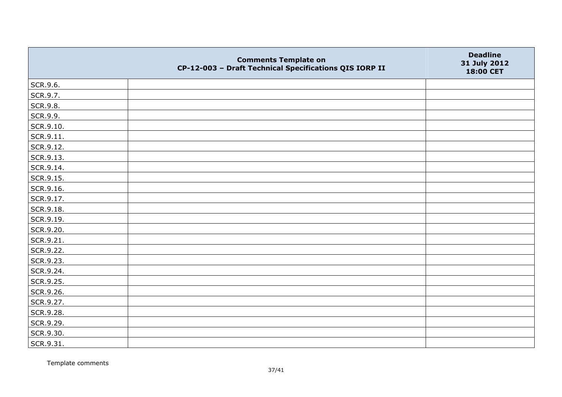|                   | <b>Comments Template on</b><br>CP-12-003 - Draft Technical Specifications QIS IORP II | <b>Deadline</b><br>31 July 2012<br>18:00 CET |
|-------------------|---------------------------------------------------------------------------------------|----------------------------------------------|
| SCR.9.6.          |                                                                                       |                                              |
| SCR.9.7.          |                                                                                       |                                              |
| SCR.9.8.          |                                                                                       |                                              |
| SCR.9.9.          |                                                                                       |                                              |
| SCR.9.10.         |                                                                                       |                                              |
| $\vert$ SCR.9.11. |                                                                                       |                                              |
| SCR.9.12.         |                                                                                       |                                              |
| SCR.9.13.         |                                                                                       |                                              |
| SCR.9.14.         |                                                                                       |                                              |
| SCR.9.15.         |                                                                                       |                                              |
| SCR.9.16.         |                                                                                       |                                              |
| SCR.9.17.         |                                                                                       |                                              |
| SCR.9.18.         |                                                                                       |                                              |
| SCR.9.19.         |                                                                                       |                                              |
| SCR.9.20.         |                                                                                       |                                              |
| SCR.9.21.         |                                                                                       |                                              |
| SCR.9.22.         |                                                                                       |                                              |
| SCR.9.23.         |                                                                                       |                                              |
| SCR.9.24.         |                                                                                       |                                              |
| SCR.9.25.         |                                                                                       |                                              |
| SCR.9.26.         |                                                                                       |                                              |
| SCR.9.27.         |                                                                                       |                                              |
| SCR.9.28.         |                                                                                       |                                              |
| SCR.9.29.         |                                                                                       |                                              |
| SCR.9.30.         |                                                                                       |                                              |
| SCR.9.31.         |                                                                                       |                                              |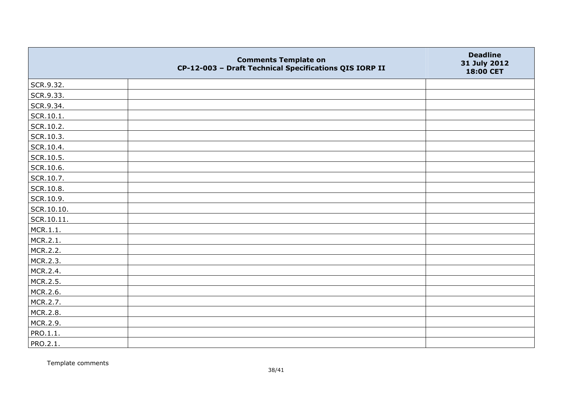|            | <b>Comments Template on</b><br>CP-12-003 - Draft Technical Specifications QIS IORP II | <b>Deadline</b><br>31 July 2012<br>18:00 CET |
|------------|---------------------------------------------------------------------------------------|----------------------------------------------|
| SCR.9.32.  |                                                                                       |                                              |
| SCR.9.33.  |                                                                                       |                                              |
| SCR.9.34.  |                                                                                       |                                              |
| SCR.10.1.  |                                                                                       |                                              |
| SCR.10.2.  |                                                                                       |                                              |
| SCR.10.3.  |                                                                                       |                                              |
| SCR.10.4.  |                                                                                       |                                              |
| SCR.10.5.  |                                                                                       |                                              |
| SCR.10.6.  |                                                                                       |                                              |
| SCR.10.7.  |                                                                                       |                                              |
| SCR.10.8.  |                                                                                       |                                              |
| SCR.10.9.  |                                                                                       |                                              |
| SCR.10.10. |                                                                                       |                                              |
| SCR.10.11. |                                                                                       |                                              |
| MCR.1.1.   |                                                                                       |                                              |
| MCR.2.1.   |                                                                                       |                                              |
| MCR.2.2.   |                                                                                       |                                              |
| MCR.2.3.   |                                                                                       |                                              |
| MCR.2.4.   |                                                                                       |                                              |
| MCR.2.5.   |                                                                                       |                                              |
| MCR.2.6.   |                                                                                       |                                              |
| MCR.2.7.   |                                                                                       |                                              |
| MCR.2.8.   |                                                                                       |                                              |
| MCR.2.9.   |                                                                                       |                                              |
| PRO.1.1.   |                                                                                       |                                              |
| PRO.2.1.   |                                                                                       |                                              |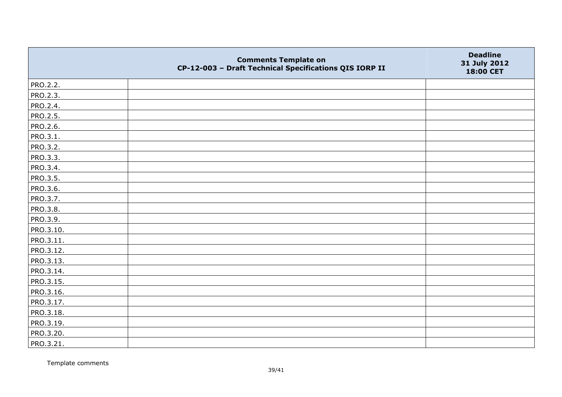|                 | <b>Comments Template on</b><br>CP-12-003 - Draft Technical Specifications QIS IORP II | <b>Deadline</b><br>31 July 2012<br>18:00 CET |
|-----------------|---------------------------------------------------------------------------------------|----------------------------------------------|
| PRO.2.2.        |                                                                                       |                                              |
| PRO.2.3.        |                                                                                       |                                              |
| PRO.2.4.        |                                                                                       |                                              |
| <b>PRO.2.5.</b> |                                                                                       |                                              |
| PRO.2.6.        |                                                                                       |                                              |
| PRO.3.1.        |                                                                                       |                                              |
| PRO.3.2.        |                                                                                       |                                              |
| PRO.3.3.        |                                                                                       |                                              |
| PRO.3.4.        |                                                                                       |                                              |
| PRO.3.5.        |                                                                                       |                                              |
| PRO.3.6.        |                                                                                       |                                              |
| PRO.3.7.        |                                                                                       |                                              |
| PRO.3.8.        |                                                                                       |                                              |
| PRO.3.9.        |                                                                                       |                                              |
| PRO.3.10.       |                                                                                       |                                              |
| PRO.3.11.       |                                                                                       |                                              |
| PRO.3.12.       |                                                                                       |                                              |
| PRO.3.13.       |                                                                                       |                                              |
| PRO.3.14.       |                                                                                       |                                              |
| PRO.3.15.       |                                                                                       |                                              |
| PRO.3.16.       |                                                                                       |                                              |
| PRO.3.17.       |                                                                                       |                                              |
| PRO.3.18.       |                                                                                       |                                              |
| PRO.3.19.       |                                                                                       |                                              |
| PRO.3.20.       |                                                                                       |                                              |
| PRO.3.21.       |                                                                                       |                                              |